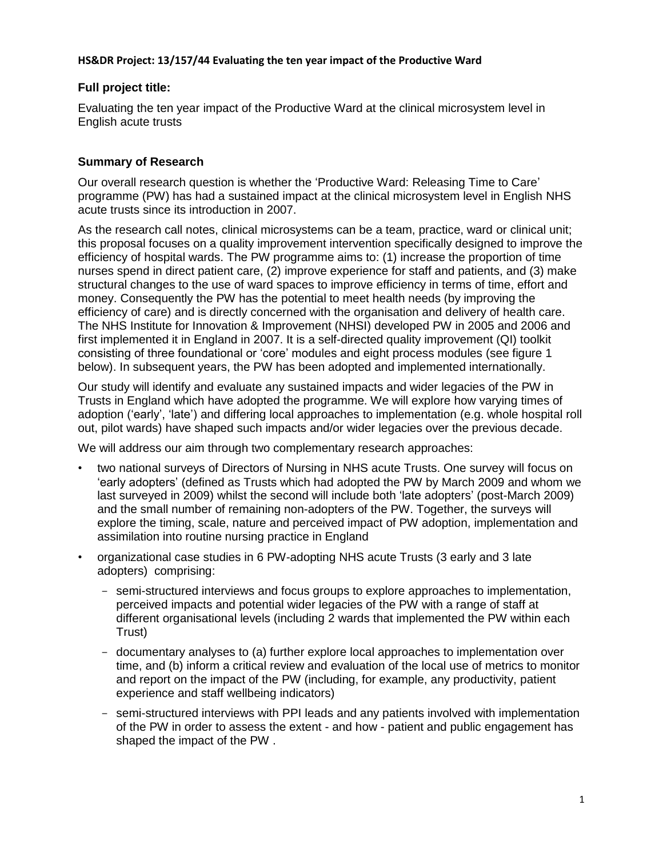# **Full project title:**

Evaluating the ten year impact of the Productive Ward at the clinical microsystem level in English acute trusts

# **Summary of Research**

Our overall research question is whether the 'Productive Ward: Releasing Time to Care' programme (PW) has had a sustained impact at the clinical microsystem level in English NHS acute trusts since its introduction in 2007.

As the research call notes, clinical microsystems can be a team, practice, ward or clinical unit; this proposal focuses on a quality improvement intervention specifically designed to improve the efficiency of hospital wards. The PW programme aims to: (1) increase the proportion of time nurses spend in direct patient care, (2) improve experience for staff and patients, and (3) make structural changes to the use of ward spaces to improve efficiency in terms of time, effort and money. Consequently the PW has the potential to meet health needs (by improving the efficiency of care) and is directly concerned with the organisation and delivery of health care. The NHS Institute for Innovation & Improvement (NHSI) developed PW in 2005 and 2006 and first implemented it in England in 2007. It is a self-directed quality improvement (QI) toolkit consisting of three foundational or 'core' modules and eight process modules (see figure 1 below). In subsequent years, the PW has been adopted and implemented internationally.

Our study will identify and evaluate any sustained impacts and wider legacies of the PW in Trusts in England which have adopted the programme. We will explore how varying times of adoption ('early', 'late') and differing local approaches to implementation (e.g. whole hospital roll out, pilot wards) have shaped such impacts and/or wider legacies over the previous decade.

We will address our aim through two complementary research approaches:

- two national surveys of Directors of Nursing in NHS acute Trusts. One survey will focus on 'early adopters' (defined as Trusts which had adopted the PW by March 2009 and whom we last surveyed in 2009) whilst the second will include both 'late adopters' (post-March 2009) and the small number of remaining non-adopters of the PW. Together, the surveys will explore the timing, scale, nature and perceived impact of PW adoption, implementation and assimilation into routine nursing practice in England
- organizational case studies in 6 PW-adopting NHS acute Trusts (3 early and 3 late adopters) comprising:
	- semi-structured interviews and focus groups to explore approaches to implementation, perceived impacts and potential wider legacies of the PW with a range of staff at different organisational levels (including 2 wards that implemented the PW within each Trust)
	- documentary analyses to (a) further explore local approaches to implementation over time, and (b) inform a critical review and evaluation of the local use of metrics to monitor and report on the impact of the PW (including, for example, any productivity, patient experience and staff wellbeing indicators)
	- semi-structured interviews with PPI leads and any patients involved with implementation of the PW in order to assess the extent - and how - patient and public engagement has shaped the impact of the PW .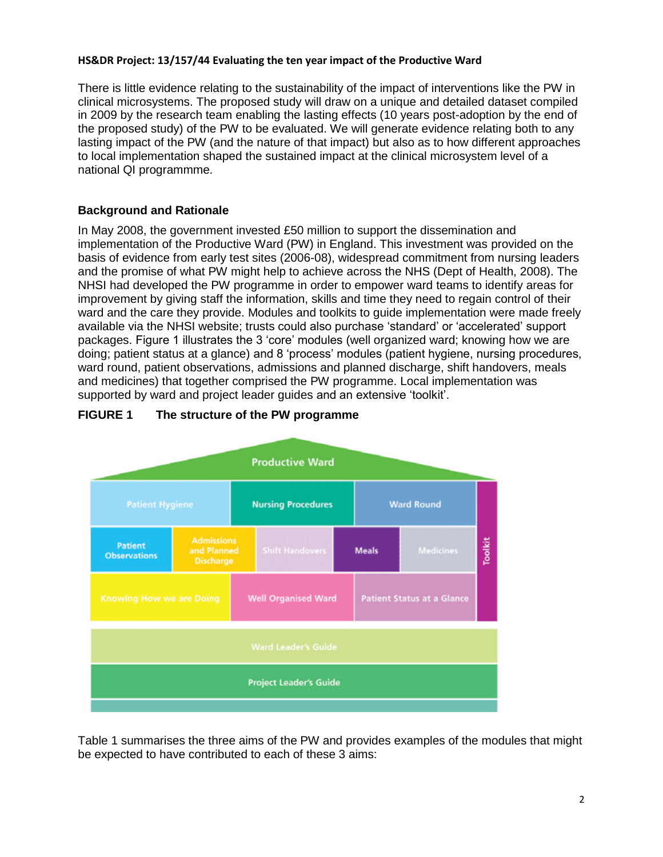There is little evidence relating to the sustainability of the impact of interventions like the PW in clinical microsystems. The proposed study will draw on a unique and detailed dataset compiled in 2009 by the research team enabling the lasting effects (10 years post-adoption by the end of the proposed study) of the PW to be evaluated. We will generate evidence relating both to any lasting impact of the PW (and the nature of that impact) but also as to how different approaches to local implementation shaped the sustained impact at the clinical microsystem level of a national QI programmme.

# **Background and Rationale**

In May 2008, the government invested £50 million to support the dissemination and implementation of the Productive Ward (PW) in England. This investment was provided on the basis of evidence from early test sites (2006-08), widespread commitment from nursing leaders and the promise of what PW might help to achieve across the NHS (Dept of Health, 2008). The NHSI had developed the PW programme in order to empower ward teams to identify areas for improvement by giving staff the information, skills and time they need to regain control of their ward and the care they provide. Modules and toolkits to guide implementation were made freely available via the NHSI website; trusts could also purchase 'standard' or 'accelerated' support packages. Figure 1 illustrates the 3 'core' modules (well organized ward; knowing how we are doing; patient status at a glance) and 8 'process' modules (patient hygiene, nursing procedures, ward round, patient observations, admissions and planned discharge, shift handovers, meals and medicines) that together comprised the PW programme. Local implementation was supported by ward and project leader guides and an extensive 'toolkit'.



# **FIGURE 1 The structure of the PW programme**

Table 1 summarises the three aims of the PW and provides examples of the modules that might be expected to have contributed to each of these 3 aims: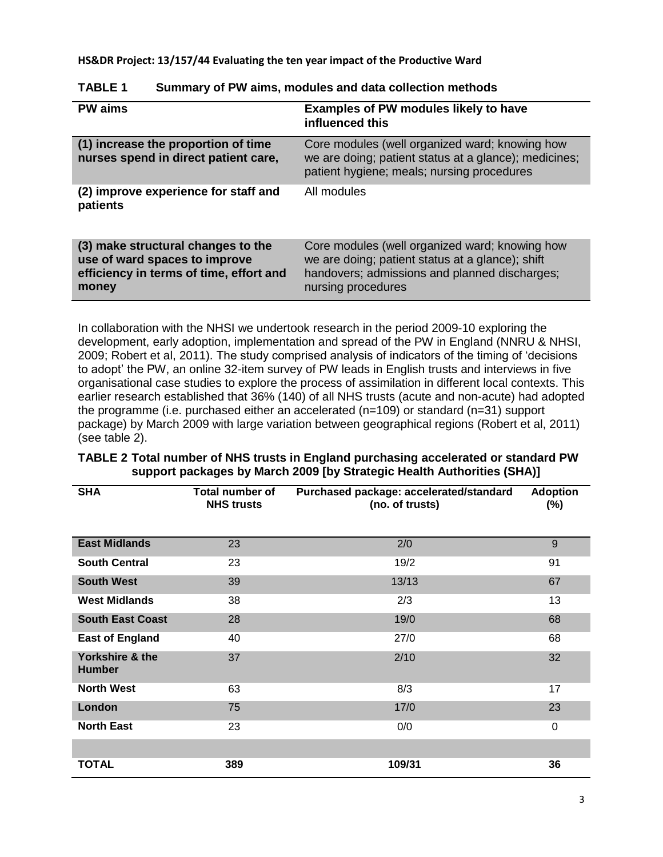| <b>PW</b> aims                                                                                                          | <b>Examples of PW modules likely to have</b><br>influenced this                                                                                                           |
|-------------------------------------------------------------------------------------------------------------------------|---------------------------------------------------------------------------------------------------------------------------------------------------------------------------|
| (1) increase the proportion of time<br>nurses spend in direct patient care,                                             | Core modules (well organized ward; knowing how<br>we are doing; patient status at a glance); medicines;<br>patient hygiene; meals; nursing procedures                     |
| (2) improve experience for staff and<br>patients                                                                        | All modules                                                                                                                                                               |
| (3) make structural changes to the<br>use of ward spaces to improve<br>efficiency in terms of time, effort and<br>money | Core modules (well organized ward; knowing how<br>we are doing; patient status at a glance); shift<br>handovers; admissions and planned discharges;<br>nursing procedures |

| <b>TABLE 1</b> | Summary of PW aims, modules and data collection methods |  |  |  |
|----------------|---------------------------------------------------------|--|--|--|
|----------------|---------------------------------------------------------|--|--|--|

In collaboration with the NHSI we undertook research in the period 2009-10 exploring the development, early adoption, implementation and spread of the PW in England (NNRU & NHSI, 2009; Robert et al, 2011). The study comprised analysis of indicators of the timing of 'decisions to adopt' the PW, an online 32-item survey of PW leads in English trusts and interviews in five organisational case studies to explore the process of assimilation in different local contexts. This earlier research established that 36% (140) of all NHS trusts (acute and non-acute) had adopted the programme (i.e. purchased either an accelerated (n=109) or standard (n=31) support package) by March 2009 with large variation between geographical regions (Robert et al, 2011) (see table 2).

| <b>SHA</b>                       | Total number of<br><b>NHS trusts</b> | Purchased package: accelerated/standard<br>(no. of trusts) | <b>Adoption</b><br>$(\%)$ |
|----------------------------------|--------------------------------------|------------------------------------------------------------|---------------------------|
| <b>East Midlands</b>             | 23                                   | 2/0                                                        | 9                         |
| <b>South Central</b>             | 23                                   | 19/2                                                       | 91                        |
| <b>South West</b>                | 39                                   | 13/13                                                      | 67                        |
| <b>West Midlands</b>             | 38                                   | 2/3                                                        | 13                        |
| <b>South East Coast</b>          | 28                                   | 19/0                                                       | 68                        |
| <b>East of England</b>           | 40                                   | 27/0                                                       | 68                        |
| Yorkshire & the<br><b>Humber</b> | 37                                   | 2/10                                                       | 32                        |
| <b>North West</b>                | 63                                   | 8/3                                                        | 17                        |
| London                           | 75                                   | 17/0                                                       | 23                        |
| <b>North East</b>                | 23                                   | 0/0                                                        | 0                         |
|                                  |                                      |                                                            |                           |
| <b>TOTAL</b>                     | 389                                  | 109/31                                                     | 36                        |

### **TABLE 2 Total number of NHS trusts in England purchasing accelerated or standard PW support packages by March 2009 [by Strategic Health Authorities (SHA)]**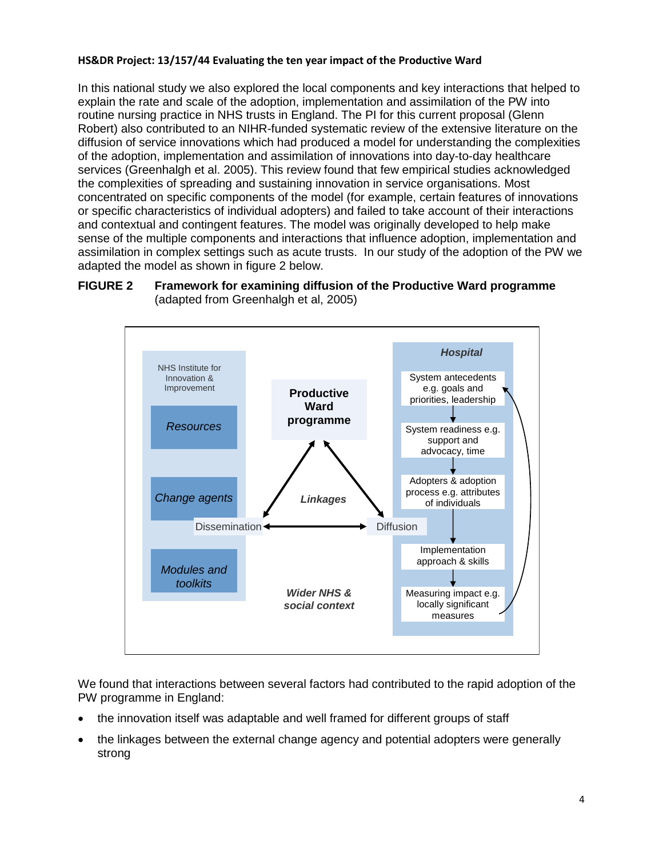In this national study we also explored the local components and key interactions that helped to explain the rate and scale of the adoption, implementation and assimilation of the PW into routine nursing practice in NHS trusts in England. The PI for this current proposal (Glenn Robert) also contributed to an NIHR-funded systematic review of the extensive literature on the diffusion of service innovations which had produced a model for understanding the complexities of the adoption, implementation and assimilation of innovations into day-to-day healthcare services (Greenhalgh et al. 2005). This review found that few empirical studies acknowledged the complexities of spreading and sustaining innovation in service organisations. Most concentrated on specific components of the model (for example, certain features of innovations or specific characteristics of individual adopters) and failed to take account of their interactions and contextual and contingent features. The model was originally developed to help make sense of the multiple components and interactions that influence adoption, implementation and assimilation in complex settings such as acute trusts. In our study of the adoption of the PW we adapted the model as shown in figure 2 below.

### **FIGURE 2 Framework for examining diffusion of the Productive Ward programme**  (adapted from Greenhalgh et al, 2005)



We found that interactions between several factors had contributed to the rapid adoption of the PW programme in England:

- the innovation itself was adaptable and well framed for different groups of staff
- the linkages between the external change agency and potential adopters were generally strong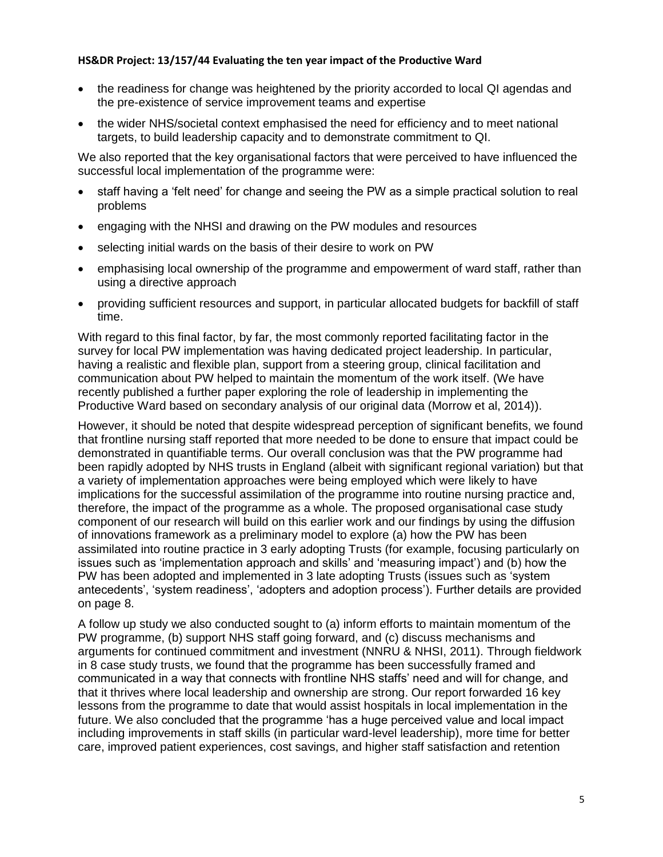- the readiness for change was heightened by the priority accorded to local QI agendas and the pre-existence of service improvement teams and expertise
- the wider NHS/societal context emphasised the need for efficiency and to meet national targets, to build leadership capacity and to demonstrate commitment to QI.

We also reported that the key organisational factors that were perceived to have influenced the successful local implementation of the programme were:

- staff having a 'felt need' for change and seeing the PW as a simple practical solution to real problems
- engaging with the NHSI and drawing on the PW modules and resources
- selecting initial wards on the basis of their desire to work on PW
- emphasising local ownership of the programme and empowerment of ward staff, rather than using a directive approach
- providing sufficient resources and support, in particular allocated budgets for backfill of staff time.

With regard to this final factor, by far, the most commonly reported facilitating factor in the survey for local PW implementation was having dedicated project leadership. In particular, having a realistic and flexible plan, support from a steering group, clinical facilitation and communication about PW helped to maintain the momentum of the work itself. (We have recently published a further paper exploring the role of leadership in implementing the Productive Ward based on secondary analysis of our original data (Morrow et al, 2014)).

However, it should be noted that despite widespread perception of significant benefits, we found that frontline nursing staff reported that more needed to be done to ensure that impact could be demonstrated in quantifiable terms. Our overall conclusion was that the PW programme had been rapidly adopted by NHS trusts in England (albeit with significant regional variation) but that a variety of implementation approaches were being employed which were likely to have implications for the successful assimilation of the programme into routine nursing practice and, therefore, the impact of the programme as a whole. The proposed organisational case study component of our research will build on this earlier work and our findings by using the diffusion of innovations framework as a preliminary model to explore (a) how the PW has been assimilated into routine practice in 3 early adopting Trusts (for example, focusing particularly on issues such as 'implementation approach and skills' and 'measuring impact') and (b) how the PW has been adopted and implemented in 3 late adopting Trusts (issues such as 'system antecedents', 'system readiness', 'adopters and adoption process'). Further details are provided on page 8.

A follow up study we also conducted sought to (a) inform efforts to maintain momentum of the PW programme, (b) support NHS staff going forward, and (c) discuss mechanisms and arguments for continued commitment and investment (NNRU & NHSI, 2011). Through fieldwork in 8 case study trusts, we found that the programme has been successfully framed and communicated in a way that connects with frontline NHS staffs' need and will for change, and that it thrives where local leadership and ownership are strong. Our report forwarded 16 key lessons from the programme to date that would assist hospitals in local implementation in the future. We also concluded that the programme 'has a huge perceived value and local impact including improvements in staff skills (in particular ward-level leadership), more time for better care, improved patient experiences, cost savings, and higher staff satisfaction and retention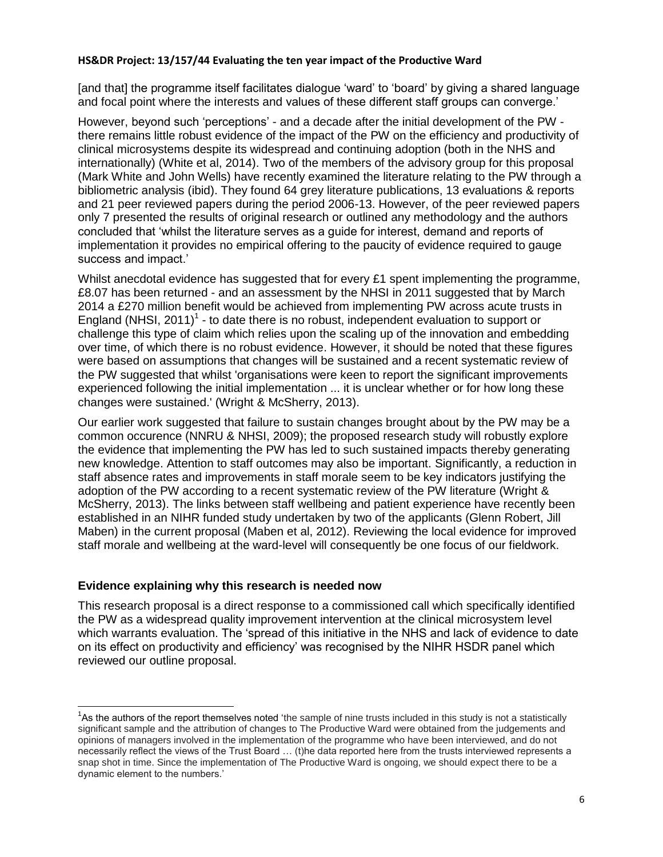[and that] the programme itself facilitates dialogue 'ward' to 'board' by giving a shared language and focal point where the interests and values of these different staff groups can converge.'

However, beyond such 'perceptions' - and a decade after the initial development of the PW there remains little robust evidence of the impact of the PW on the efficiency and productivity of clinical microsystems despite its widespread and continuing adoption (both in the NHS and internationally) (White et al, 2014). Two of the members of the advisory group for this proposal (Mark White and John Wells) have recently examined the literature relating to the PW through a bibliometric analysis (ibid). They found 64 grey literature publications, 13 evaluations & reports and 21 peer reviewed papers during the period 2006-13. However, of the peer reviewed papers only 7 presented the results of original research or outlined any methodology and the authors concluded that 'whilst the literature serves as a guide for interest, demand and reports of implementation it provides no empirical offering to the paucity of evidence required to gauge success and impact.'

Whilst anecdotal evidence has suggested that for every £1 spent implementing the programme, £8.07 has been returned - and an assessment by the NHSI in 2011 suggested that by March 2014 a £270 million benefit would be achieved from implementing PW across acute trusts in England (NHSI, 2011)<sup>1</sup> - to date there is no robust, independent evaluation to support or challenge this type of claim which relies upon the scaling up of the innovation and embedding over time, of which there is no robust evidence. However, it should be noted that these figures were based on assumptions that changes will be sustained and a recent systematic review of the PW suggested that whilst 'organisations were keen to report the significant improvements experienced following the initial implementation ... it is unclear whether or for how long these changes were sustained.' (Wright & McSherry, 2013).

Our earlier work suggested that failure to sustain changes brought about by the PW may be a common occurence (NNRU & NHSI, 2009); the proposed research study will robustly explore the evidence that implementing the PW has led to such sustained impacts thereby generating new knowledge. Attention to staff outcomes may also be important. Significantly, a reduction in staff absence rates and improvements in staff morale seem to be key indicators justifying the adoption of the PW according to a recent systematic review of the PW literature (Wright & McSherry, 2013). The links between staff wellbeing and patient experience have recently been established in an NIHR funded study undertaken by two of the applicants (Glenn Robert, Jill Maben) in the current proposal (Maben et al, 2012). Reviewing the local evidence for improved staff morale and wellbeing at the ward-level will consequently be one focus of our fieldwork.

#### **Evidence explaining why this research is needed now**

 $\overline{\phantom{a}}$ 

This research proposal is a direct response to a commissioned call which specifically identified the PW as a widespread quality improvement intervention at the clinical microsystem level which warrants evaluation. The 'spread of this initiative in the NHS and lack of evidence to date on its effect on productivity and efficiency' was recognised by the NIHR HSDR panel which reviewed our outline proposal.

<sup>&</sup>lt;sup>1</sup>As the authors of the report themselves noted 'the sample of nine trusts included in this study is not a statistically significant sample and the attribution of changes to The Productive Ward were obtained from the judgements and opinions of managers involved in the implementation of the programme who have been interviewed, and do not necessarily reflect the views of the Trust Board … (t)he data reported here from the trusts interviewed represents a snap shot in time. Since the implementation of The Productive Ward is ongoing, we should expect there to be a dynamic element to the numbers.'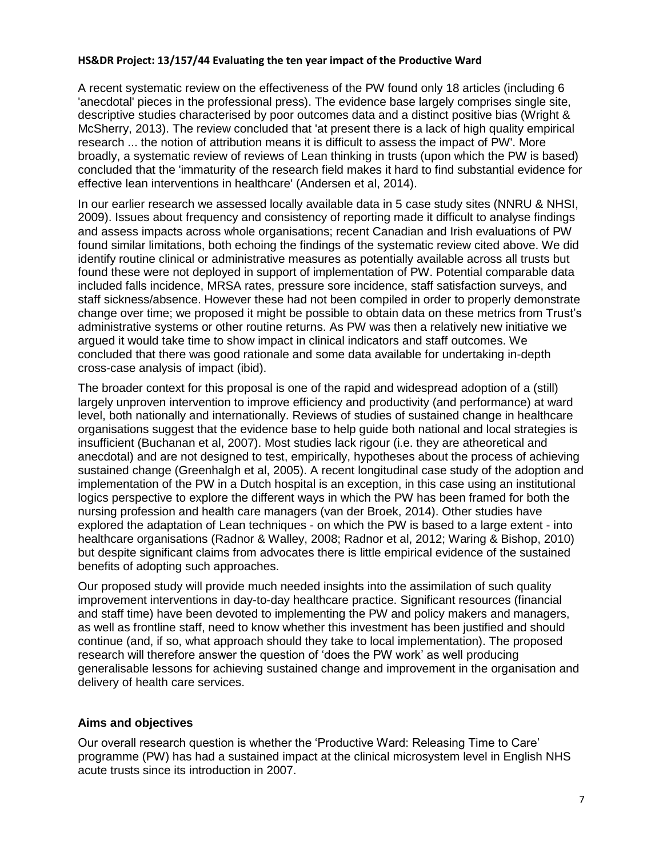A recent systematic review on the effectiveness of the PW found only 18 articles (including 6 'anecdotal' pieces in the professional press). The evidence base largely comprises single site, descriptive studies characterised by poor outcomes data and a distinct positive bias (Wright & McSherry, 2013). The review concluded that 'at present there is a lack of high quality empirical research ... the notion of attribution means it is difficult to assess the impact of PW'. More broadly, a systematic review of reviews of Lean thinking in trusts (upon which the PW is based) concluded that the 'immaturity of the research field makes it hard to find substantial evidence for effective lean interventions in healthcare' (Andersen et al, 2014).

In our earlier research we assessed locally available data in 5 case study sites (NNRU & NHSI, 2009). Issues about frequency and consistency of reporting made it difficult to analyse findings and assess impacts across whole organisations; recent Canadian and Irish evaluations of PW found similar limitations, both echoing the findings of the systematic review cited above. We did identify routine clinical or administrative measures as potentially available across all trusts but found these were not deployed in support of implementation of PW. Potential comparable data included falls incidence, MRSA rates, pressure sore incidence, staff satisfaction surveys, and staff sickness/absence. However these had not been compiled in order to properly demonstrate change over time; we proposed it might be possible to obtain data on these metrics from Trust's administrative systems or other routine returns. As PW was then a relatively new initiative we argued it would take time to show impact in clinical indicators and staff outcomes. We concluded that there was good rationale and some data available for undertaking in-depth cross-case analysis of impact (ibid).

The broader context for this proposal is one of the rapid and widespread adoption of a (still) largely unproven intervention to improve efficiency and productivity (and performance) at ward level, both nationally and internationally. Reviews of studies of sustained change in healthcare organisations suggest that the evidence base to help guide both national and local strategies is insufficient (Buchanan et al, 2007). Most studies lack rigour (i.e. they are atheoretical and anecdotal) and are not designed to test, empirically, hypotheses about the process of achieving sustained change (Greenhalgh et al, 2005). A recent longitudinal case study of the adoption and implementation of the PW in a Dutch hospital is an exception, in this case using an institutional logics perspective to explore the different ways in which the PW has been framed for both the nursing profession and health care managers (van der Broek, 2014). Other studies have explored the adaptation of Lean techniques - on which the PW is based to a large extent - into healthcare organisations (Radnor & Walley, 2008; Radnor et al, 2012; Waring & Bishop, 2010) but despite significant claims from advocates there is little empirical evidence of the sustained benefits of adopting such approaches.

Our proposed study will provide much needed insights into the assimilation of such quality improvement interventions in day-to-day healthcare practice. Significant resources (financial and staff time) have been devoted to implementing the PW and policy makers and managers, as well as frontline staff, need to know whether this investment has been justified and should continue (and, if so, what approach should they take to local implementation). The proposed research will therefore answer the question of 'does the PW work' as well producing generalisable lessons for achieving sustained change and improvement in the organisation and delivery of health care services.

# **Aims and objectives**

Our overall research question is whether the 'Productive Ward: Releasing Time to Care' programme (PW) has had a sustained impact at the clinical microsystem level in English NHS acute trusts since its introduction in 2007.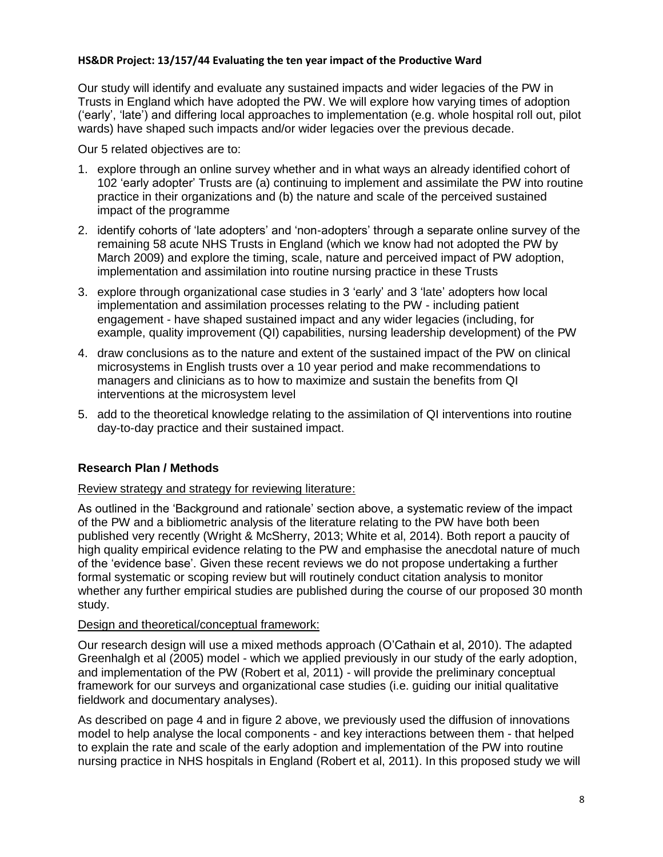Our study will identify and evaluate any sustained impacts and wider legacies of the PW in Trusts in England which have adopted the PW. We will explore how varying times of adoption ('early', 'late') and differing local approaches to implementation (e.g. whole hospital roll out, pilot wards) have shaped such impacts and/or wider legacies over the previous decade.

Our 5 related objectives are to:

- 1. explore through an online survey whether and in what ways an already identified cohort of 102 'early adopter' Trusts are (a) continuing to implement and assimilate the PW into routine practice in their organizations and (b) the nature and scale of the perceived sustained impact of the programme
- 2. identify cohorts of 'late adopters' and 'non-adopters' through a separate online survey of the remaining 58 acute NHS Trusts in England (which we know had not adopted the PW by March 2009) and explore the timing, scale, nature and perceived impact of PW adoption, implementation and assimilation into routine nursing practice in these Trusts
- 3. explore through organizational case studies in 3 'early' and 3 'late' adopters how local implementation and assimilation processes relating to the PW - including patient engagement - have shaped sustained impact and any wider legacies (including, for example, quality improvement (QI) capabilities, nursing leadership development) of the PW
- 4. draw conclusions as to the nature and extent of the sustained impact of the PW on clinical microsystems in English trusts over a 10 year period and make recommendations to managers and clinicians as to how to maximize and sustain the benefits from QI interventions at the microsystem level
- 5. add to the theoretical knowledge relating to the assimilation of QI interventions into routine day-to-day practice and their sustained impact.

# **Research Plan / Methods**

#### Review strategy and strategy for reviewing literature:

As outlined in the 'Background and rationale' section above, a systematic review of the impact of the PW and a bibliometric analysis of the literature relating to the PW have both been published very recently (Wright & McSherry, 2013; White et al, 2014). Both report a paucity of high quality empirical evidence relating to the PW and emphasise the anecdotal nature of much of the 'evidence base'. Given these recent reviews we do not propose undertaking a further formal systematic or scoping review but will routinely conduct citation analysis to monitor whether any further empirical studies are published during the course of our proposed 30 month study.

# Design and theoretical/conceptual framework:

Our research design will use a mixed methods approach (O'Cathain et al, 2010). The adapted Greenhalgh et al (2005) model - which we applied previously in our study of the early adoption, and implementation of the PW (Robert et al, 2011) - will provide the preliminary conceptual framework for our surveys and organizational case studies (i.e. guiding our initial qualitative fieldwork and documentary analyses).

As described on page 4 and in figure 2 above, we previously used the diffusion of innovations model to help analyse the local components - and key interactions between them - that helped to explain the rate and scale of the early adoption and implementation of the PW into routine nursing practice in NHS hospitals in England (Robert et al, 2011). In this proposed study we will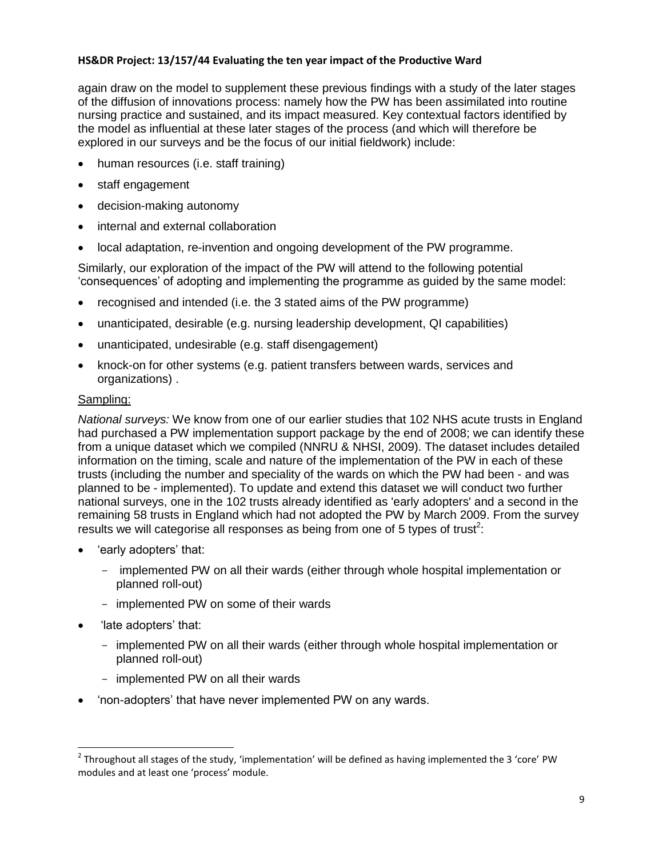again draw on the model to supplement these previous findings with a study of the later stages of the diffusion of innovations process: namely how the PW has been assimilated into routine nursing practice and sustained, and its impact measured. Key contextual factors identified by the model as influential at these later stages of the process (and which will therefore be explored in our surveys and be the focus of our initial fieldwork) include:

- human resources (i.e. staff training)
- staff engagement
- decision-making autonomy
- internal and external collaboration
- local adaptation, re-invention and ongoing development of the PW programme.

Similarly, our exploration of the impact of the PW will attend to the following potential 'consequences' of adopting and implementing the programme as guided by the same model:

- recognised and intended (i.e. the 3 stated aims of the PW programme)
- unanticipated, desirable (e.g. nursing leadership development, QI capabilities)
- unanticipated, undesirable (e.g. staff disengagement)
- knock-on for other systems (e.g. patient transfers between wards, services and organizations) .

# Sampling:

*National surveys:* We know from one of our earlier studies that 102 NHS acute trusts in England had purchased a PW implementation support package by the end of 2008; we can identify these from a unique dataset which we compiled (NNRU & NHSI, 2009). The dataset includes detailed information on the timing, scale and nature of the implementation of the PW in each of these trusts (including the number and speciality of the wards on which the PW had been - and was planned to be - implemented). To update and extend this dataset we will conduct two further national surveys, one in the 102 trusts already identified as 'early adopters' and a second in the remaining 58 trusts in England which had not adopted the PW by March 2009. From the survey results we will categorise all responses as being from one of 5 types of trust<sup>2</sup>:

- 'early adopters' that:
	- implemented PW on all their wards (either through whole hospital implementation or planned roll-out)
	- implemented PW on some of their wards
- 'late adopters' that:

 $\overline{a}$ 

- implemented PW on all their wards (either through whole hospital implementation or planned roll-out)
- implemented PW on all their wards
- 'non-adopters' that have never implemented PW on any wards.

 $^{2}$  Throughout all stages of the study, 'implementation' will be defined as having implemented the 3 'core' PW modules and at least one 'process' module.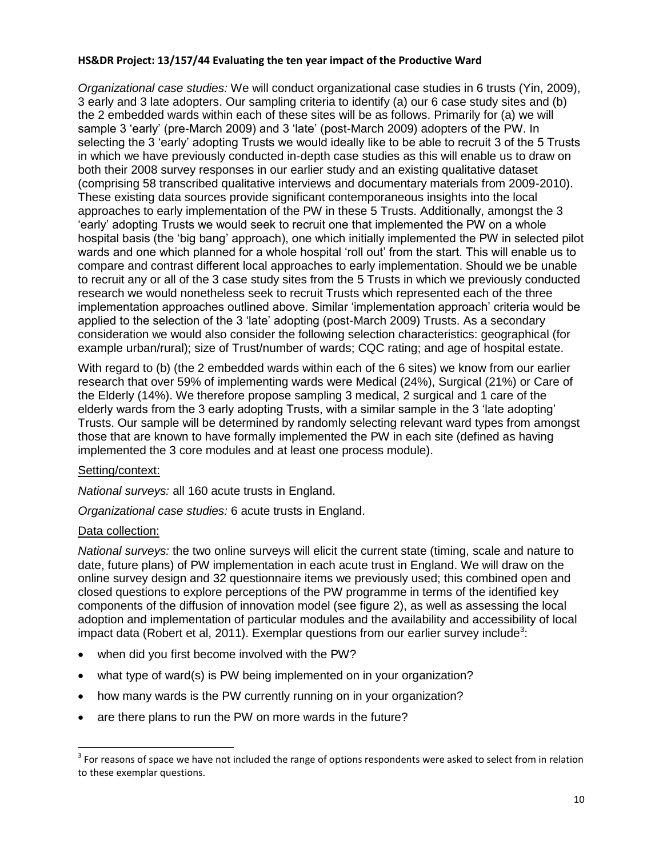*Organizational case studies:* We will conduct organizational case studies in 6 trusts (Yin, 2009), 3 early and 3 late adopters. Our sampling criteria to identify (a) our 6 case study sites and (b) the 2 embedded wards within each of these sites will be as follows. Primarily for (a) we will sample 3 'early' (pre-March 2009) and 3 'late' (post-March 2009) adopters of the PW. In selecting the 3 'early' adopting Trusts we would ideally like to be able to recruit 3 of the 5 Trusts in which we have previously conducted in-depth case studies as this will enable us to draw on both their 2008 survey responses in our earlier study and an existing qualitative dataset (comprising 58 transcribed qualitative interviews and documentary materials from 2009-2010). These existing data sources provide significant contemporaneous insights into the local approaches to early implementation of the PW in these 5 Trusts. Additionally, amongst the 3 'early' adopting Trusts we would seek to recruit one that implemented the PW on a whole hospital basis (the 'big bang' approach), one which initially implemented the PW in selected pilot wards and one which planned for a whole hospital 'roll out' from the start. This will enable us to compare and contrast different local approaches to early implementation. Should we be unable to recruit any or all of the 3 case study sites from the 5 Trusts in which we previously conducted research we would nonetheless seek to recruit Trusts which represented each of the three implementation approaches outlined above. Similar 'implementation approach' criteria would be applied to the selection of the 3 'late' adopting (post-March 2009) Trusts. As a secondary consideration we would also consider the following selection characteristics: geographical (for example urban/rural); size of Trust/number of wards; CQC rating; and age of hospital estate.

With regard to (b) (the 2 embedded wards within each of the 6 sites) we know from our earlier research that over 59% of implementing wards were Medical (24%), Surgical (21%) or Care of the Elderly (14%). We therefore propose sampling 3 medical, 2 surgical and 1 care of the elderly wards from the 3 early adopting Trusts, with a similar sample in the 3 'late adopting' Trusts. Our sample will be determined by randomly selecting relevant ward types from amongst those that are known to have formally implemented the PW in each site (defined as having implemented the 3 core modules and at least one process module).

# Setting/context:

*National surveys:* all 160 acute trusts in England.

*Organizational case studies:* 6 acute trusts in England.

# Data collection:

 $\overline{a}$ 

*National surveys:* the two online surveys will elicit the current state (timing, scale and nature to date, future plans) of PW implementation in each acute trust in England. We will draw on the online survey design and 32 questionnaire items we previously used; this combined open and closed questions to explore perceptions of the PW programme in terms of the identified key components of the diffusion of innovation model (see figure 2), as well as assessing the local adoption and implementation of particular modules and the availability and accessibility of local impact data (Robert et al, 2011). Exemplar questions from our earlier survey include<sup>3</sup>:

- when did you first become involved with the PW?
- what type of ward(s) is PW being implemented on in your organization?
- how many wards is the PW currently running on in your organization?
- are there plans to run the PW on more wards in the future?

 $3$  For reasons of space we have not included the range of options respondents were asked to select from in relation to these exemplar questions.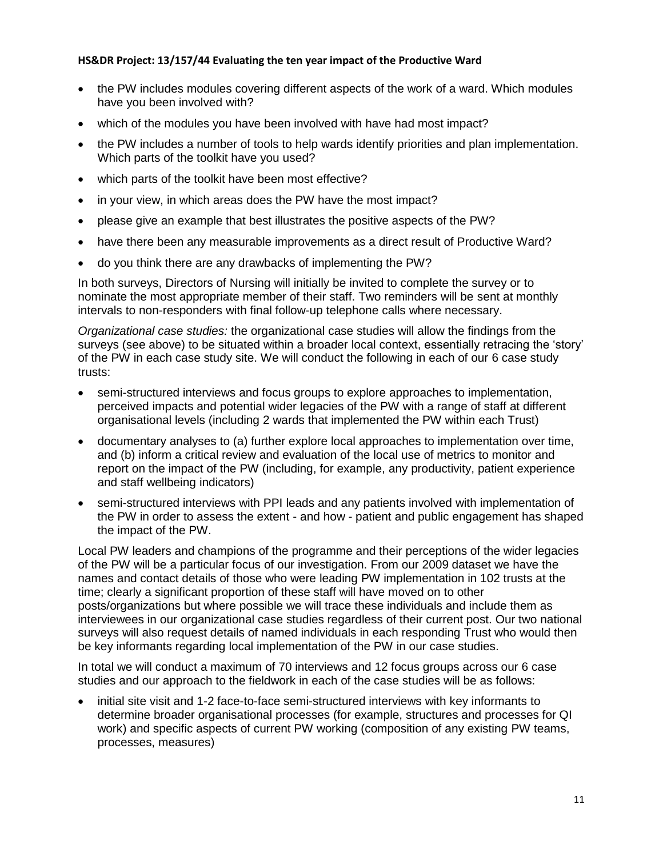- the PW includes modules covering different aspects of the work of a ward. Which modules have you been involved with?
- which of the modules you have been involved with have had most impact?
- the PW includes a number of tools to help wards identify priorities and plan implementation. Which parts of the toolkit have you used?
- which parts of the toolkit have been most effective?
- in your view, in which areas does the PW have the most impact?
- please give an example that best illustrates the positive aspects of the PW?
- have there been any measurable improvements as a direct result of Productive Ward?
- do you think there are any drawbacks of implementing the PW?

In both surveys, Directors of Nursing will initially be invited to complete the survey or to nominate the most appropriate member of their staff. Two reminders will be sent at monthly intervals to non-responders with final follow-up telephone calls where necessary.

*Organizational case studies:* the organizational case studies will allow the findings from the surveys (see above) to be situated within a broader local context, essentially retracing the 'story' of the PW in each case study site. We will conduct the following in each of our 6 case study trusts:

- semi-structured interviews and focus groups to explore approaches to implementation, perceived impacts and potential wider legacies of the PW with a range of staff at different organisational levels (including 2 wards that implemented the PW within each Trust)
- documentary analyses to (a) further explore local approaches to implementation over time, and (b) inform a critical review and evaluation of the local use of metrics to monitor and report on the impact of the PW (including, for example, any productivity, patient experience and staff wellbeing indicators)
- semi-structured interviews with PPI leads and any patients involved with implementation of the PW in order to assess the extent - and how - patient and public engagement has shaped the impact of the PW.

Local PW leaders and champions of the programme and their perceptions of the wider legacies of the PW will be a particular focus of our investigation. From our 2009 dataset we have the names and contact details of those who were leading PW implementation in 102 trusts at the time; clearly a significant proportion of these staff will have moved on to other posts/organizations but where possible we will trace these individuals and include them as interviewees in our organizational case studies regardless of their current post. Our two national surveys will also request details of named individuals in each responding Trust who would then be key informants regarding local implementation of the PW in our case studies.

In total we will conduct a maximum of 70 interviews and 12 focus groups across our 6 case studies and our approach to the fieldwork in each of the case studies will be as follows:

 initial site visit and 1-2 face-to-face semi-structured interviews with key informants to determine broader organisational processes (for example, structures and processes for QI work) and specific aspects of current PW working (composition of any existing PW teams, processes, measures)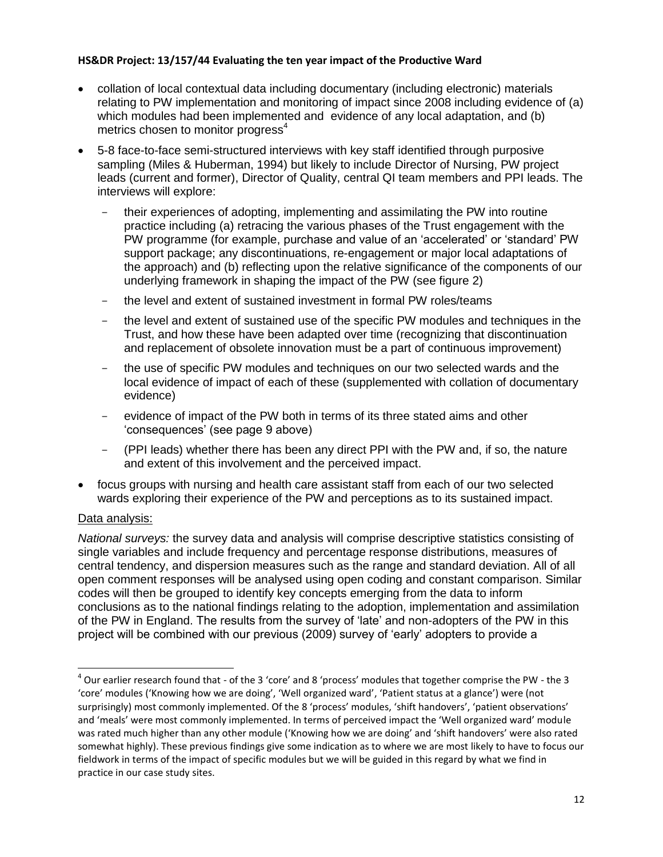- collation of local contextual data including documentary (including electronic) materials relating to PW implementation and monitoring of impact since 2008 including evidence of (a) which modules had been implemented and evidence of any local adaptation, and (b) metrics chosen to monitor progress<sup>4</sup>
- 5-8 face-to-face semi-structured interviews with key staff identified through purposive sampling (Miles & Huberman, 1994) but likely to include Director of Nursing, PW project leads (current and former), Director of Quality, central QI team members and PPI leads. The interviews will explore:
	- their experiences of adopting, implementing and assimilating the PW into routine practice including (a) retracing the various phases of the Trust engagement with the PW programme (for example, purchase and value of an 'accelerated' or 'standard' PW support package; any discontinuations, re-engagement or major local adaptations of the approach) and (b) reflecting upon the relative significance of the components of our underlying framework in shaping the impact of the PW (see figure 2)
	- the level and extent of sustained investment in formal PW roles/teams
	- the level and extent of sustained use of the specific PW modules and techniques in the Trust, and how these have been adapted over time (recognizing that discontinuation and replacement of obsolete innovation must be a part of continuous improvement)
	- the use of specific PW modules and techniques on our two selected wards and the local evidence of impact of each of these (supplemented with collation of documentary evidence)
	- evidence of impact of the PW both in terms of its three stated aims and other 'consequences' (see page 9 above)
	- (PPI leads) whether there has been any direct PPI with the PW and, if so, the nature and extent of this involvement and the perceived impact.
- focus groups with nursing and health care assistant staff from each of our two selected wards exploring their experience of the PW and perceptions as to its sustained impact.

# Data analysis:

 $\overline{a}$ 

*National surveys:* the survey data and analysis will comprise descriptive statistics consisting of single variables and include frequency and percentage response distributions, measures of central tendency, and dispersion measures such as the range and standard deviation. All of all open comment responses will be analysed using open coding and constant comparison. Similar codes will then be grouped to identify key concepts emerging from the data to inform conclusions as to the national findings relating to the adoption, implementation and assimilation of the PW in England. The results from the survey of 'late' and non-adopters of the PW in this project will be combined with our previous (2009) survey of 'early' adopters to provide a

 $^4$  Our earlier research found that - of the 3 'core' and 8 'process' modules that together comprise the PW - the 3 'core' modules ('Knowing how we are doing', 'Well organized ward', 'Patient status at a glance') were (not surprisingly) most commonly implemented. Of the 8 'process' modules, 'shift handovers', 'patient observations' and 'meals' were most commonly implemented. In terms of perceived impact the 'Well organized ward' module was rated much higher than any other module ('Knowing how we are doing' and 'shift handovers' were also rated somewhat highly). These previous findings give some indication as to where we are most likely to have to focus our fieldwork in terms of the impact of specific modules but we will be guided in this regard by what we find in practice in our case study sites.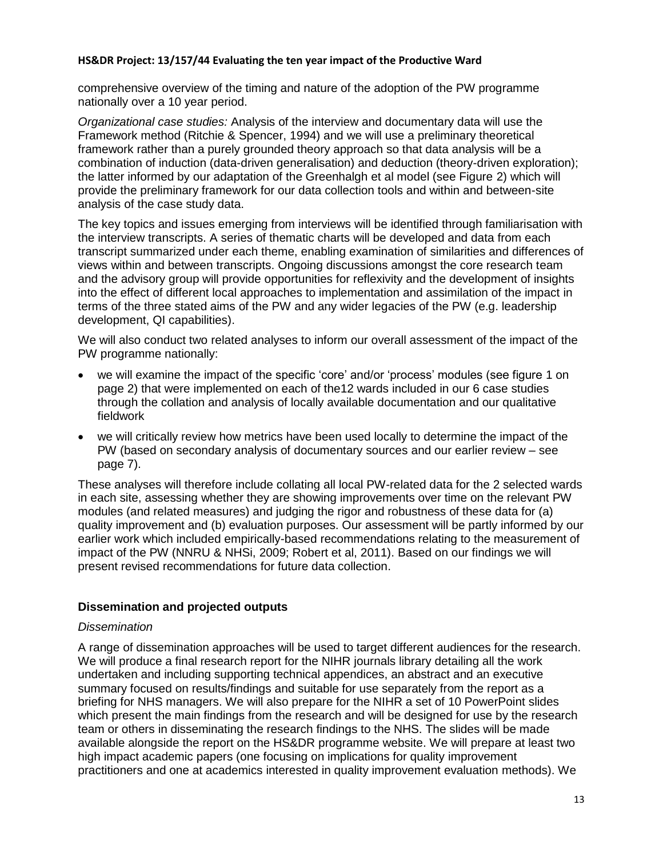comprehensive overview of the timing and nature of the adoption of the PW programme nationally over a 10 year period.

*Organizational case studies:* Analysis of the interview and documentary data will use the Framework method (Ritchie & Spencer, 1994) and we will use a preliminary theoretical framework rather than a purely grounded theory approach so that data analysis will be a combination of induction (data-driven generalisation) and deduction (theory-driven exploration); the latter informed by our adaptation of the Greenhalgh et al model (see Figure 2) which will provide the preliminary framework for our data collection tools and within and between-site analysis of the case study data.

The key topics and issues emerging from interviews will be identified through familiarisation with the interview transcripts. A series of thematic charts will be developed and data from each transcript summarized under each theme, enabling examination of similarities and differences of views within and between transcripts. Ongoing discussions amongst the core research team and the advisory group will provide opportunities for reflexivity and the development of insights into the effect of different local approaches to implementation and assimilation of the impact in terms of the three stated aims of the PW and any wider legacies of the PW (e.g. leadership development, QI capabilities).

We will also conduct two related analyses to inform our overall assessment of the impact of the PW programme nationally:

- we will examine the impact of the specific 'core' and/or 'process' modules (see figure 1 on page 2) that were implemented on each of the12 wards included in our 6 case studies through the collation and analysis of locally available documentation and our qualitative fieldwork
- we will critically review how metrics have been used locally to determine the impact of the PW (based on secondary analysis of documentary sources and our earlier review – see page 7).

These analyses will therefore include collating all local PW-related data for the 2 selected wards in each site, assessing whether they are showing improvements over time on the relevant PW modules (and related measures) and judging the rigor and robustness of these data for (a) quality improvement and (b) evaluation purposes. Our assessment will be partly informed by our earlier work which included empirically-based recommendations relating to the measurement of impact of the PW (NNRU & NHSi, 2009; Robert et al, 2011). Based on our findings we will present revised recommendations for future data collection.

# **Dissemination and projected outputs**

#### *Dissemination*

A range of dissemination approaches will be used to target different audiences for the research. We will produce a final research report for the NIHR journals library detailing all the work undertaken and including supporting technical appendices, an abstract and an executive summary focused on results/findings and suitable for use separately from the report as a briefing for NHS managers. We will also prepare for the NIHR a set of 10 PowerPoint slides which present the main findings from the research and will be designed for use by the research team or others in disseminating the research findings to the NHS. The slides will be made available alongside the report on the HS&DR programme website. We will prepare at least two high impact academic papers (one focusing on implications for quality improvement practitioners and one at academics interested in quality improvement evaluation methods). We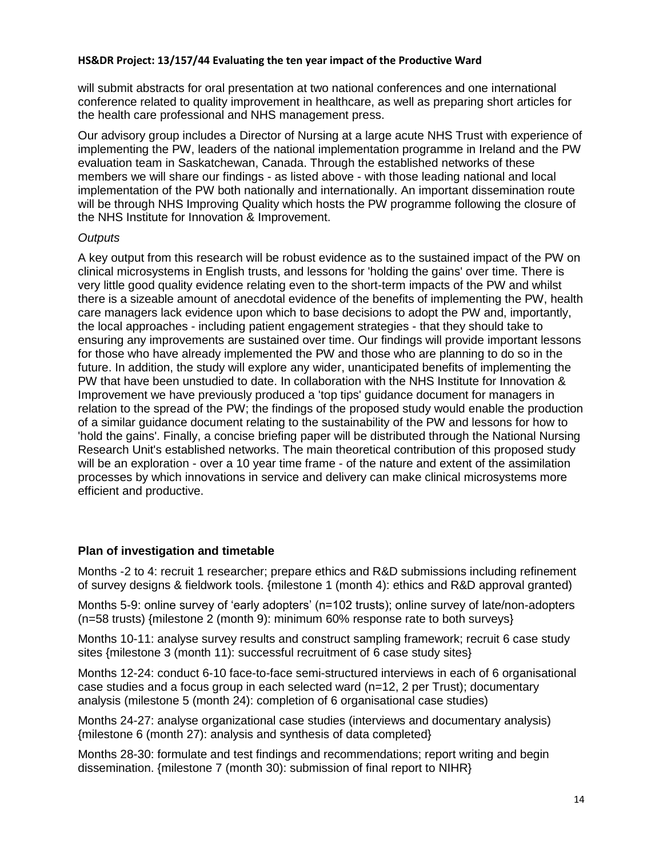will submit abstracts for oral presentation at two national conferences and one international conference related to quality improvement in healthcare, as well as preparing short articles for the health care professional and NHS management press.

Our advisory group includes a Director of Nursing at a large acute NHS Trust with experience of implementing the PW, leaders of the national implementation programme in Ireland and the PW evaluation team in Saskatchewan, Canada. Through the established networks of these members we will share our findings - as listed above - with those leading national and local implementation of the PW both nationally and internationally. An important dissemination route will be through NHS Improving Quality which hosts the PW programme following the closure of the NHS Institute for Innovation & Improvement.

# *Outputs*

A key output from this research will be robust evidence as to the sustained impact of the PW on clinical microsystems in English trusts, and lessons for 'holding the gains' over time. There is very little good quality evidence relating even to the short-term impacts of the PW and whilst there is a sizeable amount of anecdotal evidence of the benefits of implementing the PW, health care managers lack evidence upon which to base decisions to adopt the PW and, importantly, the local approaches - including patient engagement strategies - that they should take to ensuring any improvements are sustained over time. Our findings will provide important lessons for those who have already implemented the PW and those who are planning to do so in the future. In addition, the study will explore any wider, unanticipated benefits of implementing the PW that have been unstudied to date. In collaboration with the NHS Institute for Innovation & Improvement we have previously produced a 'top tips' guidance document for managers in relation to the spread of the PW; the findings of the proposed study would enable the production of a similar guidance document relating to the sustainability of the PW and lessons for how to 'hold the gains'. Finally, a concise briefing paper will be distributed through the National Nursing Research Unit's established networks. The main theoretical contribution of this proposed study will be an exploration - over a 10 year time frame - of the nature and extent of the assimilation processes by which innovations in service and delivery can make clinical microsystems more efficient and productive.

# **Plan of investigation and timetable**

Months -2 to 4: recruit 1 researcher; prepare ethics and R&D submissions including refinement of survey designs & fieldwork tools. {milestone 1 (month 4): ethics and R&D approval granted)

Months 5-9: online survey of 'early adopters' (n=102 trusts); online survey of late/non-adopters (n=58 trusts) {milestone 2 (month 9): minimum 60% response rate to both surveys}

Months 10-11: analyse survey results and construct sampling framework; recruit 6 case study sites {milestone 3 (month 11): successful recruitment of 6 case study sites}

Months 12-24: conduct 6-10 face-to-face semi-structured interviews in each of 6 organisational case studies and a focus group in each selected ward (n=12, 2 per Trust); documentary analysis (milestone 5 (month 24): completion of 6 organisational case studies)

Months 24-27: analyse organizational case studies (interviews and documentary analysis) {milestone 6 (month 27): analysis and synthesis of data completed}

Months 28-30: formulate and test findings and recommendations; report writing and begin dissemination. {milestone 7 (month 30): submission of final report to NIHR}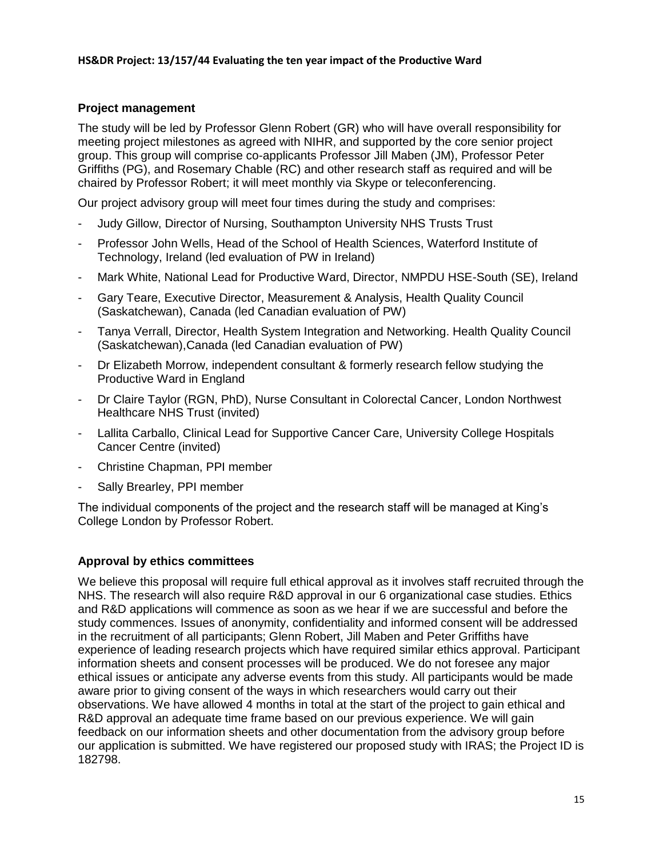# **Project management**

The study will be led by Professor Glenn Robert (GR) who will have overall responsibility for meeting project milestones as agreed with NIHR, and supported by the core senior project group. This group will comprise co-applicants Professor Jill Maben (JM), Professor Peter Griffiths (PG), and Rosemary Chable (RC) and other research staff as required and will be chaired by Professor Robert; it will meet monthly via Skype or teleconferencing.

Our project advisory group will meet four times during the study and comprises:

- Judy Gillow, Director of Nursing, Southampton University NHS Trusts Trust
- Professor John Wells, Head of the School of Health Sciences, Waterford Institute of Technology, Ireland (led evaluation of PW in Ireland)
- Mark White, National Lead for Productive Ward, Director, NMPDU HSE-South (SE), Ireland
- Gary Teare, Executive Director, Measurement & Analysis, Health Quality Council (Saskatchewan), Canada (led Canadian evaluation of PW)
- Tanya Verrall, Director, Health System Integration and Networking. Health Quality Council (Saskatchewan),Canada (led Canadian evaluation of PW)
- Dr Elizabeth Morrow, independent consultant & formerly research fellow studying the Productive Ward in England
- Dr Claire Taylor (RGN, PhD), Nurse Consultant in Colorectal Cancer, London Northwest Healthcare NHS Trust (invited)
- Lallita Carballo, Clinical Lead for Supportive Cancer Care, University College Hospitals Cancer Centre (invited)
- Christine Chapman, PPI member
- Sally Brearley, PPI member

The individual components of the project and the research staff will be managed at King's College London by Professor Robert.

# **Approval by ethics committees**

We believe this proposal will require full ethical approval as it involves staff recruited through the NHS. The research will also require R&D approval in our 6 organizational case studies. Ethics and R&D applications will commence as soon as we hear if we are successful and before the study commences. Issues of anonymity, confidentiality and informed consent will be addressed in the recruitment of all participants; Glenn Robert, Jill Maben and Peter Griffiths have experience of leading research projects which have required similar ethics approval. Participant information sheets and consent processes will be produced. We do not foresee any major ethical issues or anticipate any adverse events from this study. All participants would be made aware prior to giving consent of the ways in which researchers would carry out their observations. We have allowed 4 months in total at the start of the project to gain ethical and R&D approval an adequate time frame based on our previous experience. We will gain feedback on our information sheets and other documentation from the advisory group before our application is submitted. We have registered our proposed study with IRAS; the Project ID is 182798.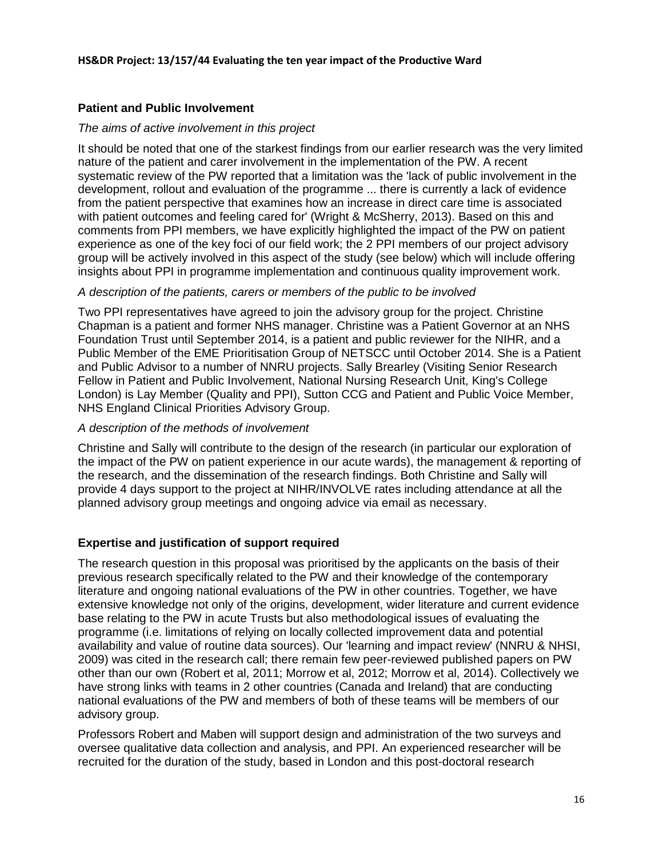# **Patient and Public Involvement**

### *The aims of active involvement in this project*

It should be noted that one of the starkest findings from our earlier research was the very limited nature of the patient and carer involvement in the implementation of the PW. A recent systematic review of the PW reported that a limitation was the 'lack of public involvement in the development, rollout and evaluation of the programme ... there is currently a lack of evidence from the patient perspective that examines how an increase in direct care time is associated with patient outcomes and feeling cared for' (Wright & McSherry, 2013). Based on this and comments from PPI members, we have explicitly highlighted the impact of the PW on patient experience as one of the key foci of our field work; the 2 PPI members of our project advisory group will be actively involved in this aspect of the study (see below) which will include offering insights about PPI in programme implementation and continuous quality improvement work.

### *A description of the patients, carers or members of the public to be involved*

Two PPI representatives have agreed to join the advisory group for the project. Christine Chapman is a patient and former NHS manager. Christine was a Patient Governor at an NHS Foundation Trust until September 2014, is a patient and public reviewer for the NIHR, and a Public Member of the EME Prioritisation Group of NETSCC until October 2014. She is a Patient and Public Advisor to a number of NNRU projects. Sally Brearley (Visiting Senior Research Fellow in Patient and Public Involvement, National Nursing Research Unit, King's College London) is Lay Member (Quality and PPI), Sutton CCG and Patient and Public Voice Member, NHS England Clinical Priorities Advisory Group.

#### *A description of the methods of involvement*

Christine and Sally will contribute to the design of the research (in particular our exploration of the impact of the PW on patient experience in our acute wards), the management & reporting of the research, and the dissemination of the research findings. Both Christine and Sally will provide 4 days support to the project at NIHR/INVOLVE rates including attendance at all the planned advisory group meetings and ongoing advice via email as necessary.

# **Expertise and justification of support required**

The research question in this proposal was prioritised by the applicants on the basis of their previous research specifically related to the PW and their knowledge of the contemporary literature and ongoing national evaluations of the PW in other countries. Together, we have extensive knowledge not only of the origins, development, wider literature and current evidence base relating to the PW in acute Trusts but also methodological issues of evaluating the programme (i.e. limitations of relying on locally collected improvement data and potential availability and value of routine data sources). Our 'learning and impact review' (NNRU & NHSI, 2009) was cited in the research call; there remain few peer-reviewed published papers on PW other than our own (Robert et al, 2011; Morrow et al, 2012; Morrow et al, 2014). Collectively we have strong links with teams in 2 other countries (Canada and Ireland) that are conducting national evaluations of the PW and members of both of these teams will be members of our advisory group.

Professors Robert and Maben will support design and administration of the two surveys and oversee qualitative data collection and analysis, and PPI. An experienced researcher will be recruited for the duration of the study, based in London and this post-doctoral research